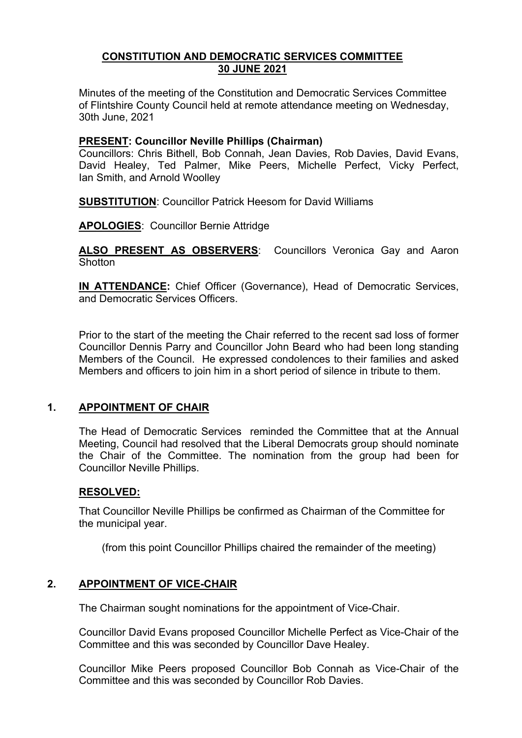## **CONSTITUTION AND DEMOCRATIC SERVICES COMMITTEE 30 JUNE 2021**

Minutes of the meeting of the Constitution and Democratic Services Committee of Flintshire County Council held at remote attendance meeting on Wednesday, 30th June, 2021

#### **PRESENT: Councillor Neville Phillips (Chairman)**

Councillors: Chris Bithell, Bob Connah, Jean Davies, Rob Davies, David Evans, David Healey, Ted Palmer, Mike Peers, Michelle Perfect, Vicky Perfect, Ian Smith, and Arnold Woolley

**SUBSTITUTION**: Councillor Patrick Heesom for David Williams

**APOLOGIES**: Councillor Bernie Attridge

**ALSO PRESENT AS OBSERVERS**: Councillors Veronica Gay and Aaron **Shotton** 

**IN ATTENDANCE:** Chief Officer (Governance), Head of Democratic Services, and Democratic Services Officers.

Prior to the start of the meeting the Chair referred to the recent sad loss of former Councillor Dennis Parry and Councillor John Beard who had been long standing Members of the Council. He expressed condolences to their families and asked Members and officers to join him in a short period of silence in tribute to them.

### **1. APPOINTMENT OF CHAIR**

The Head of Democratic Services reminded the Committee that at the Annual Meeting, Council had resolved that the Liberal Democrats group should nominate the Chair of the Committee. The nomination from the group had been for Councillor Neville Phillips.

### **RESOLVED:**

That Councillor Neville Phillips be confirmed as Chairman of the Committee for the municipal year.

(from this point Councillor Phillips chaired the remainder of the meeting)

### **2. APPOINTMENT OF VICE-CHAIR**

The Chairman sought nominations for the appointment of Vice-Chair.

Councillor David Evans proposed Councillor Michelle Perfect as Vice-Chair of the Committee and this was seconded by Councillor Dave Healey.

Councillor Mike Peers proposed Councillor Bob Connah as Vice-Chair of the Committee and this was seconded by Councillor Rob Davies.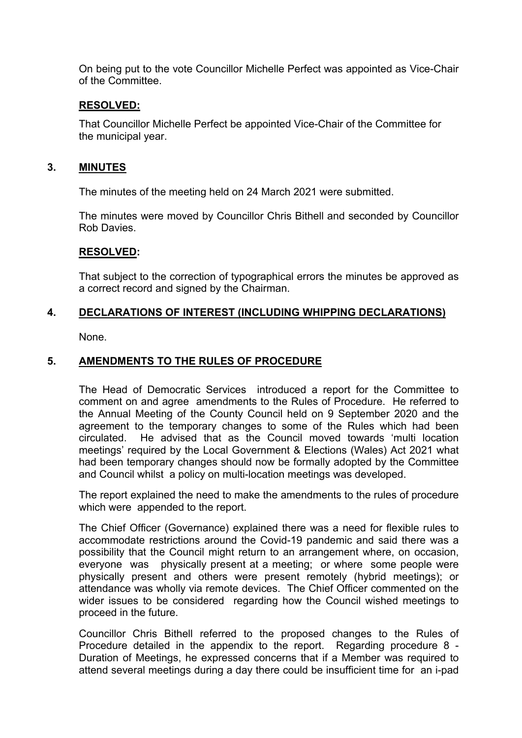On being put to the vote Councillor Michelle Perfect was appointed as Vice-Chair of the Committee.

### **RESOLVED:**

That Councillor Michelle Perfect be appointed Vice-Chair of the Committee for the municipal year.

### **3. MINUTES**

The minutes of the meeting held on 24 March 2021 were submitted.

The minutes were moved by Councillor Chris Bithell and seconded by Councillor Rob Davies.

### **RESOLVED:**

That subject to the correction of typographical errors the minutes be approved as a correct record and signed by the Chairman.

## **4. DECLARATIONS OF INTEREST (INCLUDING WHIPPING DECLARATIONS)**

None.

# **5. AMENDMENTS TO THE RULES OF PROCEDURE**

The Head of Democratic Services introduced a report for the Committee to comment on and agree amendments to the Rules of Procedure. He referred to the Annual Meeting of the County Council held on 9 September 2020 and the agreement to the temporary changes to some of the Rules which had been circulated. He advised that as the Council moved towards 'multi location meetings' required by the Local Government & Elections (Wales) Act 2021 what had been temporary changes should now be formally adopted by the Committee and Council whilst a policy on multi-location meetings was developed.

The report explained the need to make the amendments to the rules of procedure which were appended to the report.

The Chief Officer (Governance) explained there was a need for flexible rules to accommodate restrictions around the Covid-19 pandemic and said there was a possibility that the Council might return to an arrangement where, on occasion, everyone was physically present at a meeting; or where some people were physically present and others were present remotely (hybrid meetings); or attendance was wholly via remote devices. The Chief Officer commented on the wider issues to be considered regarding how the Council wished meetings to proceed in the future.

Councillor Chris Bithell referred to the proposed changes to the Rules of Procedure detailed in the appendix to the report. Regarding procedure 8 - Duration of Meetings, he expressed concerns that if a Member was required to attend several meetings during a day there could be insufficient time for an i-pad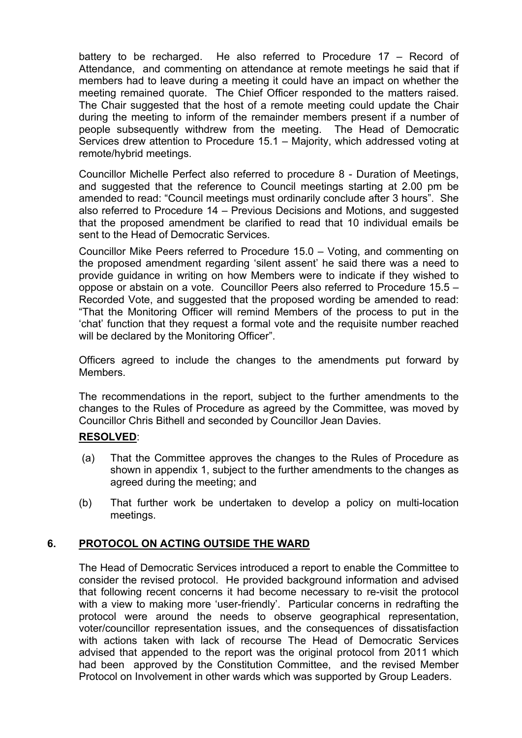battery to be recharged. He also referred to Procedure 17 – Record of Attendance, and commenting on attendance at remote meetings he said that if members had to leave during a meeting it could have an impact on whether the meeting remained quorate. The Chief Officer responded to the matters raised. The Chair suggested that the host of a remote meeting could update the Chair during the meeting to inform of the remainder members present if a number of people subsequently withdrew from the meeting. The Head of Democratic Services drew attention to Procedure 15.1 – Majority, which addressed voting at remote/hybrid meetings.

Councillor Michelle Perfect also referred to procedure 8 - Duration of Meetings, and suggested that the reference to Council meetings starting at 2.00 pm be amended to read: "Council meetings must ordinarily conclude after 3 hours". She also referred to Procedure 14 – Previous Decisions and Motions, and suggested that the proposed amendment be clarified to read that 10 individual emails be sent to the Head of Democratic Services.

Councillor Mike Peers referred to Procedure 15.0 – Voting, and commenting on the proposed amendment regarding 'silent assent' he said there was a need to provide guidance in writing on how Members were to indicate if they wished to oppose or abstain on a vote. Councillor Peers also referred to Procedure 15.5 – Recorded Vote, and suggested that the proposed wording be amended to read: "That the Monitoring Officer will remind Members of the process to put in the 'chat' function that they request a formal vote and the requisite number reached will be declared by the Monitoring Officer".

Officers agreed to include the changes to the amendments put forward by **Members** 

The recommendations in the report, subject to the further amendments to the changes to the Rules of Procedure as agreed by the Committee, was moved by Councillor Chris Bithell and seconded by Councillor Jean Davies.

### **RESOLVED**:

- (a) That the Committee approves the changes to the Rules of Procedure as shown in appendix 1, subject to the further amendments to the changes as agreed during the meeting; and
- (b) That further work be undertaken to develop a policy on multi-location meetings.

# **6. PROTOCOL ON ACTING OUTSIDE THE WARD**

The Head of Democratic Services introduced a report to enable the Committee to consider the revised protocol. He provided background information and advised that following recent concerns it had become necessary to re-visit the protocol with a view to making more 'user-friendly'. Particular concerns in redrafting the protocol were around the needs to observe geographical representation, voter/councillor representation issues, and the consequences of dissatisfaction with actions taken with lack of recourse The Head of Democratic Services advised that appended to the report was the original protocol from 2011 which had been approved by the Constitution Committee, and the revised Member Protocol on Involvement in other wards which was supported by Group Leaders.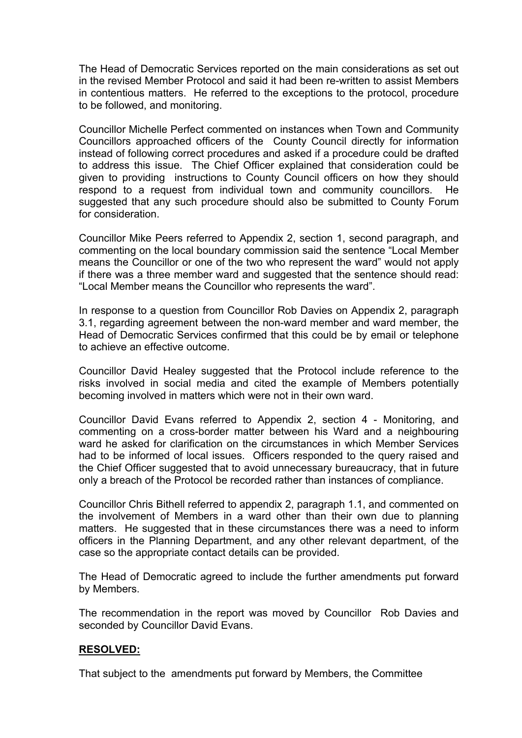The Head of Democratic Services reported on the main considerations as set out in the revised Member Protocol and said it had been re-written to assist Members in contentious matters. He referred to the exceptions to the protocol, procedure to be followed, and monitoring.

Councillor Michelle Perfect commented on instances when Town and Community Councillors approached officers of the County Council directly for information instead of following correct procedures and asked if a procedure could be drafted to address this issue. The Chief Officer explained that consideration could be given to providing instructions to County Council officers on how they should respond to a request from individual town and community councillors. He suggested that any such procedure should also be submitted to County Forum for consideration.

Councillor Mike Peers referred to Appendix 2, section 1, second paragraph, and commenting on the local boundary commission said the sentence "Local Member means the Councillor or one of the two who represent the ward" would not apply if there was a three member ward and suggested that the sentence should read: "Local Member means the Councillor who represents the ward".

In response to a question from Councillor Rob Davies on Appendix 2, paragraph 3.1, regarding agreement between the non-ward member and ward member, the Head of Democratic Services confirmed that this could be by email or telephone to achieve an effective outcome.

Councillor David Healey suggested that the Protocol include reference to the risks involved in social media and cited the example of Members potentially becoming involved in matters which were not in their own ward.

Councillor David Evans referred to Appendix 2, section 4 - Monitoring, and commenting on a cross-border matter between his Ward and a neighbouring ward he asked for clarification on the circumstances in which Member Services had to be informed of local issues. Officers responded to the query raised and the Chief Officer suggested that to avoid unnecessary bureaucracy, that in future only a breach of the Protocol be recorded rather than instances of compliance.

Councillor Chris Bithell referred to appendix 2, paragraph 1.1, and commented on the involvement of Members in a ward other than their own due to planning matters. He suggested that in these circumstances there was a need to inform officers in the Planning Department, and any other relevant department, of the case so the appropriate contact details can be provided.

The Head of Democratic agreed to include the further amendments put forward by Members.

The recommendation in the report was moved by Councillor Rob Davies and seconded by Councillor David Evans.

### **RESOLVED:**

That subject to the amendments put forward by Members, the Committee